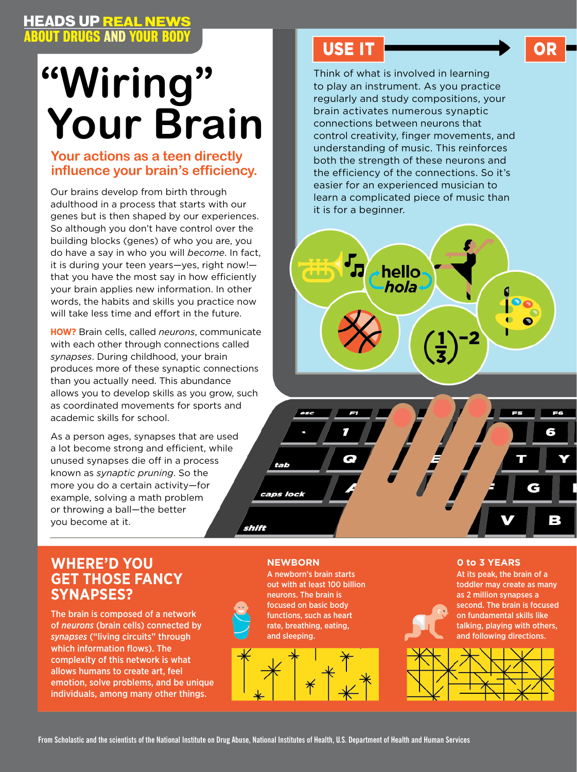## **HEADS UP REAL NEWS<br>ABOUT DRUGS AND YOUR BODY**

# **"Wiring" Your Brain**

### **Your actions as a teen directly influence your brain's efficiency.**

Our brains develop from birth through adulthood in a process that starts with our genes but is then shaped by our experiences. So although you don't have control over the building blocks (genes) of who you are, you do have a say in who you will *become*. In fact, it is during your teen years—yes, right now! that you have the most say in how efficiently your brain applies new information. In other words, the habits and skills you practice now will take less time and effort in the future.

**How?** Brain cells, called *neurons*, communicate with each other through connections called *synapses*. During childhood, your brain produces more of these synaptic connections than you actually need. This abundance allows you to develop skills as you grow, such as coordinated movements for sports and academic skills for school.

As a person ages, synapses that are used a lot become strong and efficient, while unused synapses die off in a process known as *synaptic pruning*. So the more you do a certain activity—for example, solving a math problem or throwing a ball—the better you become at it.

### USE IT **DESCRIPTION**

HEADS UP REAL NEWS

Think of what is involved in learning to play an instrument. As you practice regularly and study compositions, your brain activates numerous synaptic connections between neurons that control creativity, finger movements, and understanding of music. This reinforces both the strength of these neurons and the efficiency of the connections. So it's easier for an experienced musician to learn a complicated piece of music than it is for a beginner.





### **WHERE'D YOU A REWBORN CONSUMING THE CONSUMING THE CONSUMING THE CONSUMING THE CONSUMING THE CONSUMING THE CONSUMING THE CONSUMING THE CONSUMING THE CONSUMING THE CONSUMING THE CONSUMING THE CONSUMING THE CONSUMING THE CON Get Those Fancy Synapses?**

The brain is composed of a network of *neurons* (brain cells) connected by *synapses* ("living circuits" through which information flows). The complexity of this network is what allows humans to create art, feel emotion, solve problems, and be unique individuals, among many other things.

A newborn's brain starts out with at least 100 billion neurons. The brain is focused on basic body functions, such as heart rate, breathing, eating, and sleeping.



At its peak, the brain of a toddler may create as many as 2 million synapses a second. The brain is focused on fundamental skills like talking, playing with others, and following directions.